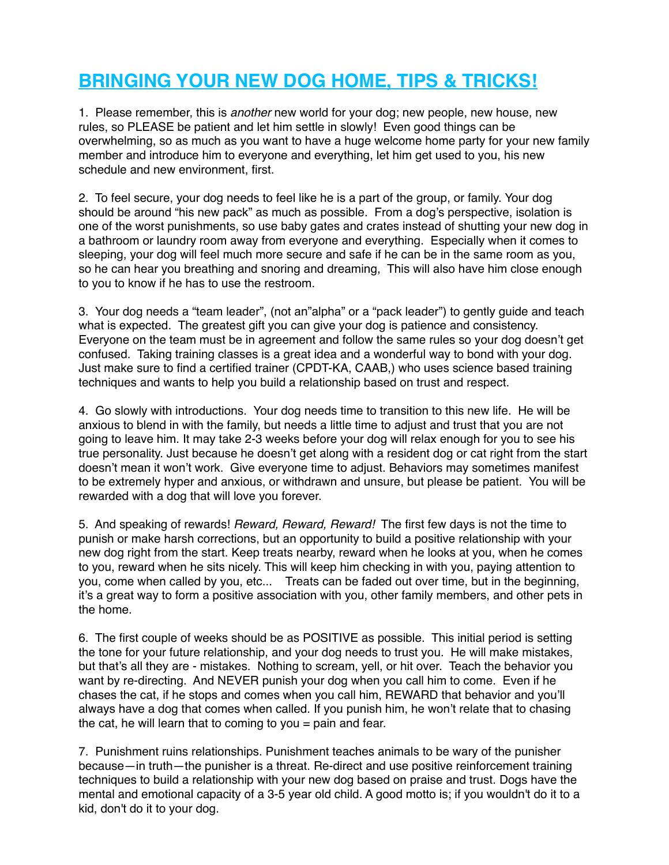# **BRINGING YOUR NEW DOG HOME, TIPS & TRICKS!**

1. Please remember, this is *another* new world for your dog; new people, new house, new rules, so PLEASE be patient and let him settle in slowly! Even good things can be overwhelming, so as much as you want to have a huge welcome home party for your new family member and introduce him to everyone and everything, let him get used to you, his new schedule and new environment, first.

2. To feel secure, your dog needs to feel like he is a part of the group, or family. Your dog should be around "his new pack" as much as possible. From a dog's perspective, isolation is one of the worst punishments, so use baby gates and crates instead of shutting your new dog in a bathroom or laundry room away from everyone and everything. Especially when it comes to sleeping, your dog will feel much more secure and safe if he can be in the same room as you, so he can hear you breathing and snoring and dreaming, This will also have him close enough to you to know if he has to use the restroom.

3. Your dog needs a "team leader", (not an"alpha" or a "pack leader") to gently guide and teach what is expected. The greatest gift you can give your dog is patience and consistency. Everyone on the team must be in agreement and follow the same rules so your dog doesn't get confused. Taking training classes is a great idea and a wonderful way to bond with your dog. Just make sure to find a certified trainer (CPDT-KA, CAAB,) who uses science based training techniques and wants to help you build a relationship based on trust and respect.

4. Go slowly with introductions. Your dog needs time to transition to this new life. He will be anxious to blend in with the family, but needs a little time to adjust and trust that you are not going to leave him. It may take 2-3 weeks before your dog will relax enough for you to see his true personality. Just because he doesn't get along with a resident dog or cat right from the start doesn't mean it won't work. Give everyone time to adjust. Behaviors may sometimes manifest to be extremely hyper and anxious, or withdrawn and unsure, but please be patient. You will be rewarded with a dog that will love you forever.

5. And speaking of rewards! *Reward, Reward, Reward!* The first few days is not the time to punish or make harsh corrections, but an opportunity to build a positive relationship with your new dog right from the start. Keep treats nearby, reward when he looks at you, when he comes to you, reward when he sits nicely. This will keep him checking in with you, paying attention to you, come when called by you, etc... Treats can be faded out over time, but in the beginning, it's a great way to form a positive association with you, other family members, and other pets in the home.

6. The first couple of weeks should be as POSITIVE as possible. This initial period is setting the tone for your future relationship, and your dog needs to trust you. He will make mistakes, but that's all they are - mistakes. Nothing to scream, yell, or hit over. Teach the behavior you want by re-directing. And NEVER punish your dog when you call him to come. Even if he chases the cat, if he stops and comes when you call him, REWARD that behavior and you'll always have a dog that comes when called. If you punish him, he won't relate that to chasing the cat, he will learn that to coming to you = pain and fear.

7. Punishment ruins relationships. Punishment teaches animals to be wary of the punisher because—in truth—the punisher is a threat. Re-direct and use positive reinforcement training techniques to build a relationship with your new dog based on praise and trust. Dogs have the mental and emotional capacity of a 3-5 year old child. A good motto is; if you wouldn't do it to a kid, don't do it to your dog.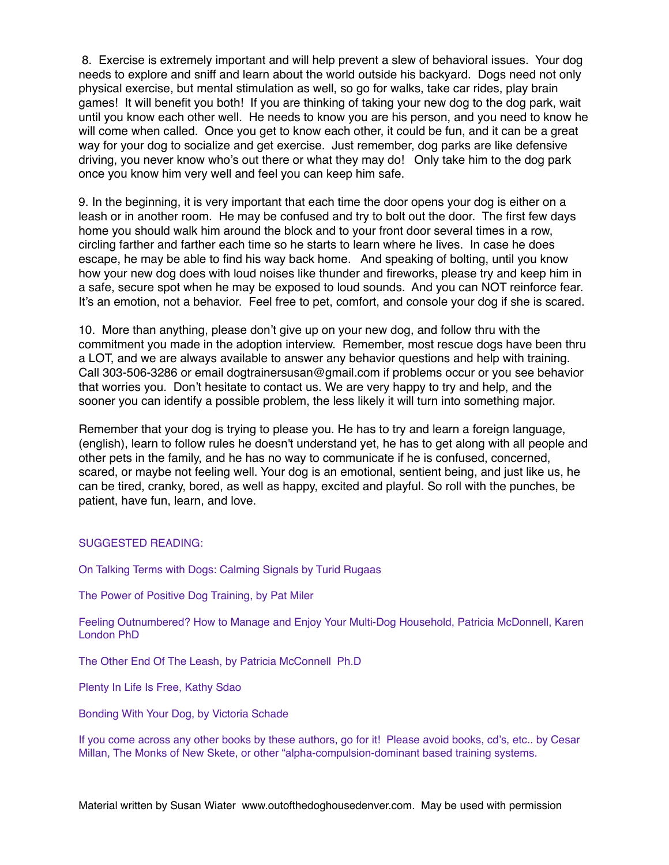8. Exercise is extremely important and will help prevent a slew of behavioral issues. Your dog needs to explore and sniff and learn about the world outside his backyard. Dogs need not only physical exercise, but mental stimulation as well, so go for walks, take car rides, play brain games! It will benefit you both! If you are thinking of taking your new dog to the dog park, wait until you know each other well. He needs to know you are his person, and you need to know he will come when called. Once you get to know each other, it could be fun, and it can be a great way for your dog to socialize and get exercise. Just remember, dog parks are like defensive driving, you never know who's out there or what they may do! Only take him to the dog park once you know him very well and feel you can keep him safe.

9. In the beginning, it is very important that each time the door opens your dog is either on a leash or in another room. He may be confused and try to bolt out the door. The first few days home you should walk him around the block and to your front door several times in a row, circling farther and farther each time so he starts to learn where he lives. In case he does escape, he may be able to find his way back home. And speaking of bolting, until you know how your new dog does with loud noises like thunder and fireworks, please try and keep him in a safe, secure spot when he may be exposed to loud sounds. And you can NOT reinforce fear. It's an emotion, not a behavior. Feel free to pet, comfort, and console your dog if she is scared.

10. More than anything, please don't give up on your new dog, and follow thru with the commitment you made in the adoption interview. Remember, most rescue dogs have been thru a LOT, and we are always available to answer any behavior questions and help with training. Call 303-506-3286 or email [dogtrainersusan@gmail.com](mailto:dogtrainersusan@gmail.com) if problems occur or you see behavior that worries you. Don't hesitate to contact us. We are very happy to try and help, and the sooner you can identify a possible problem, the less likely it will turn into something major.

Remember that your dog is trying to please you. He has to try and learn a foreign language, (english), learn to follow rules he doesn't understand yet, he has to get along with all people and other pets in the family, and he has no way to communicate if he is confused, concerned, scared, or maybe not feeling well. Your dog is an emotional, sentient being, and just like us, he can be tired, cranky, bored, as well as happy, excited and playful. So roll with the punches, be patient, have fun, learn, and love.

#### SUGGESTED READING:

On Talking Terms with Dogs: Calming Signals by Turid Rugaas

The Power of Positive Dog Training, by Pat Miler

Feeling Outnumbered? How to Manage and Enjoy Your Multi-Dog Household, Patricia McDonnell, Karen London PhD

The Other End Of The Leash, by Patricia McConnell Ph.D

Plenty In Life Is Free, Kathy Sdao

Bonding With Your Dog, by Victoria Schade

If you come across any other books by these authors, go for it! Please avoid books, cd's, etc.. by Cesar Millan, The Monks of New Skete, or other "alpha-compulsion-dominant based training systems.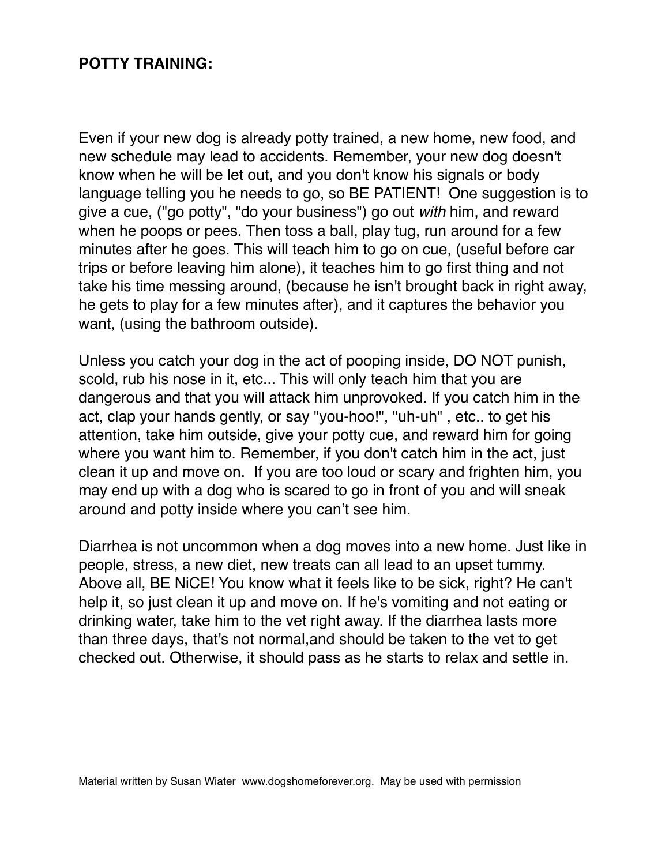#### **POTTY TRAINING:**

Even if your new dog is already potty trained, a new home, new food, and new schedule may lead to accidents. Remember, your new dog doesn't know when he will be let out, and you don't know his signals or body language telling you he needs to go, so BE PATIENT! One suggestion is to give a cue, ("go potty", "do your business") go out *with* him, and reward when he poops or pees. Then toss a ball, play tug, run around for a few minutes after he goes. This will teach him to go on cue, (useful before car trips or before leaving him alone), it teaches him to go first thing and not take his time messing around, (because he isn't brought back in right away, he gets to play for a few minutes after), and it captures the behavior you want, (using the bathroom outside).

Unless you catch your dog in the act of pooping inside, DO NOT punish, scold, rub his nose in it, etc... This will only teach him that you are dangerous and that you will attack him unprovoked. If you catch him in the act, clap your hands gently, or say "you-hoo!", "uh-uh" , etc.. to get his attention, take him outside, give your potty cue, and reward him for going where you want him to. Remember, if you don't catch him in the act, just clean it up and move on. If you are too loud or scary and frighten him, you may end up with a dog who is scared to go in front of you and will sneak around and potty inside where you can't see him.

Diarrhea is not uncommon when a dog moves into a new home. Just like in people, stress, a new diet, new treats can all lead to an upset tummy. Above all, BE NiCE! You know what it feels like to be sick, right? He can't help it, so just clean it up and move on. If he's vomiting and not eating or drinking water, take him to the vet right away. If the diarrhea lasts more than three days, that's not normal,and should be taken to the vet to get checked out. Otherwise, it should pass as he starts to relax and settle in.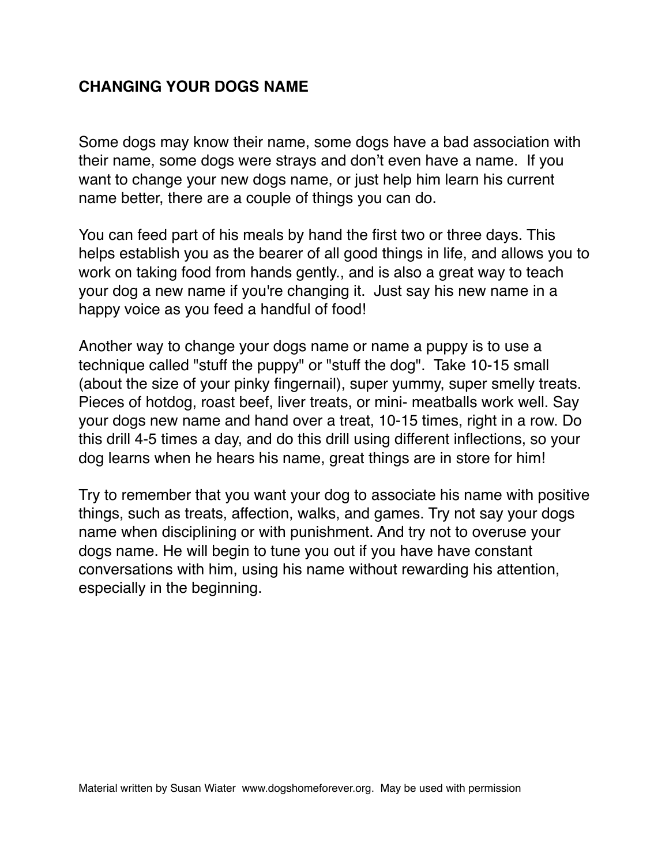# **CHANGING YOUR DOGS NAME**

Some dogs may know their name, some dogs have a bad association with their name, some dogs were strays and don't even have a name. If you want to change your new dogs name, or just help him learn his current name better, there are a couple of things you can do.

You can feed part of his meals by hand the first two or three days. This helps establish you as the bearer of all good things in life, and allows you to work on taking food from hands gently., and is also a great way to teach your dog a new name if you're changing it. Just say his new name in a happy voice as you feed a handful of food!

Another way to change your dogs name or name a puppy is to use a technique called "stuff the puppy" or "stuff the dog". Take 10-15 small (about the size of your pinky fingernail), super yummy, super smelly treats. Pieces of hotdog, roast beef, liver treats, or mini- meatballs work well. Say your dogs new name and hand over a treat, 10-15 times, right in a row. Do this drill 4-5 times a day, and do this drill using different inflections, so your dog learns when he hears his name, great things are in store for him!

Try to remember that you want your dog to associate his name with positive things, such as treats, affection, walks, and games. Try not say your dogs name when disciplining or with punishment. And try not to overuse your dogs name. He will begin to tune you out if you have have constant conversations with him, using his name without rewarding his attention, especially in the beginning.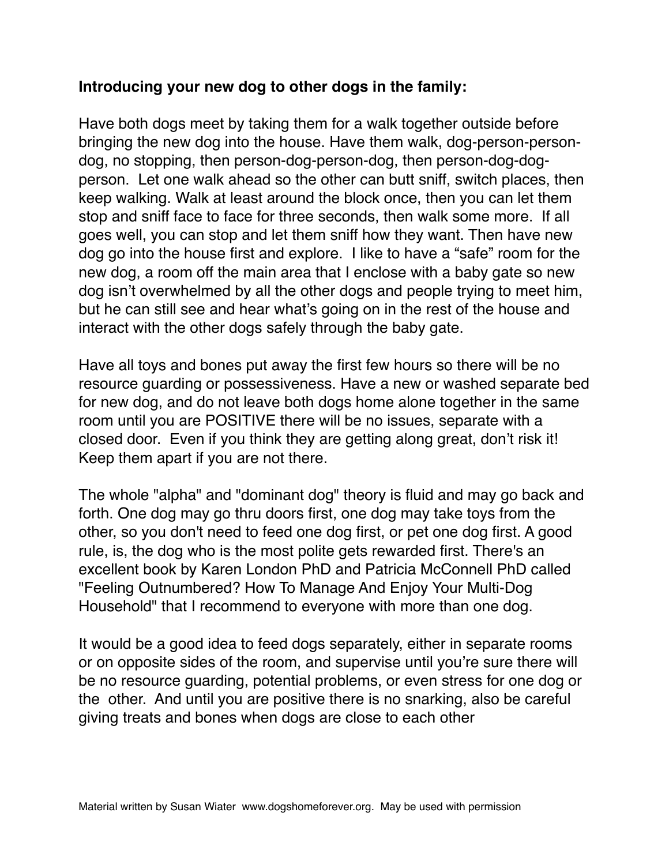### **Introducing your new dog to other dogs in the family:**

Have both dogs meet by taking them for a walk together outside before bringing the new dog into the house. Have them walk, dog-person-persondog, no stopping, then person-dog-person-dog, then person-dog-dogperson. Let one walk ahead so the other can butt sniff, switch places, then keep walking. Walk at least around the block once, then you can let them stop and sniff face to face for three seconds, then walk some more. If all goes well, you can stop and let them sniff how they want. Then have new dog go into the house first and explore. I like to have a "safe" room for the new dog, a room off the main area that I enclose with a baby gate so new dog isn't overwhelmed by all the other dogs and people trying to meet him, but he can still see and hear what's going on in the rest of the house and interact with the other dogs safely through the baby gate.

Have all toys and bones put away the first few hours so there will be no resource guarding or possessiveness. Have a new or washed separate bed for new dog, and do not leave both dogs home alone together in the same room until you are POSITIVE there will be no issues, separate with a closed door. Even if you think they are getting along great, don't risk it! Keep them apart if you are not there.

The whole "alpha" and "dominant dog" theory is fluid and may go back and forth. One dog may go thru doors first, one dog may take toys from the other, so you don't need to feed one dog first, or pet one dog first. A good rule, is, the dog who is the most polite gets rewarded first. There's an excellent book by Karen London PhD and Patricia McConnell PhD called "Feeling Outnumbered? How To Manage And Enjoy Your Multi-Dog Household" that I recommend to everyone with more than one dog.

It would be a good idea to feed dogs separately, either in separate rooms or on opposite sides of the room, and supervise until you're sure there will be no resource guarding, potential problems, or even stress for one dog or the other. And until you are positive there is no snarking, also be careful giving treats and bones when dogs are close to each other